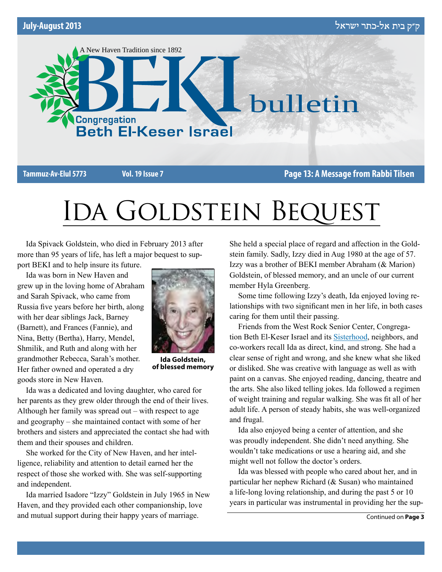

**Tammuz-Av-Elul 5773 Vol. 19 Issue 7 Page 13: A Message from Rabbi Tilsen**

# IDA GOLDSTEIN BEQUEST

Ida Spivack Goldstein, who died in February 2013 after more than 95 years of life, has left a major bequest to support BEKI and to help insure its future.

Ida was born in New Haven and grew up in the loving home of Abraham and Sarah Spivack, who came from Russia five years before her birth, along with her dear siblings Jack, Barney (Barnett), and Frances (Fannie), and Nina, Betty (Bertha), Harry, Mendel, Shmilik, and Ruth and along with her grandmother Rebecca, Sarah's mother. Her father owned and operated a dry goods store in New Haven.



**Ida Goldstein, of blessed memory**

Ida was a dedicated and loving daughter, who cared for her parents as they grew older through the end of their lives. Although her family was spread out – with respect to age and geography – she maintained contact with some of her brothers and sisters and appreciated the contact she had with them and their spouses and children.

She worked for the City of New Haven, and her intelligence, reliability and attention to detail earned her the respect of those she worked with. She was self-supporting and independent.

Ida married Isadore "Izzy" Goldstein in July 1965 in New Haven, and they provided each other companionship, love and mutual support during their happy years of marriage.

She held a special place of regard and affection in the Goldstein family. Sadly, Izzy died in Aug 1980 at the age of 57. Izzy was a brother of BEKI member Abraham (& Marion) Goldstein, of blessed memory, and an uncle of our current member Hyla Greenberg.

Some time following Izzy's death, Ida enjoyed loving relationships with two significant men in her life, in both cases caring for them until their passing.

Friends from the West Rock Senior Center, Congregation Beth El-Keser Israel and its Sisterhood, neighbors, and co-workers recall Ida as direct, kind, and strong. She had a clear sense of right and wrong, and she knew what she liked or disliked. She was creative with language as well as with paint on a canvas. She enjoyed reading, dancing, theatre and the arts. She also liked telling jokes. Ida followed a regimen of weight training and regular walking. She was fit all of her adult life. A person of steady habits, she was well-organized and frugal.

Ida also enjoyed being a center of attention, and she was proudly independent. She didn't need anything. She wouldn't take medications or use a hearing aid, and she might well not follow the doctor's orders.

Ida was blessed with people who cared about her, and in particular her nephew Richard (& Susan) who maintained a life-long loving relationship, and during the past 5 or 10 years in particular was instrumental in providing her the sup-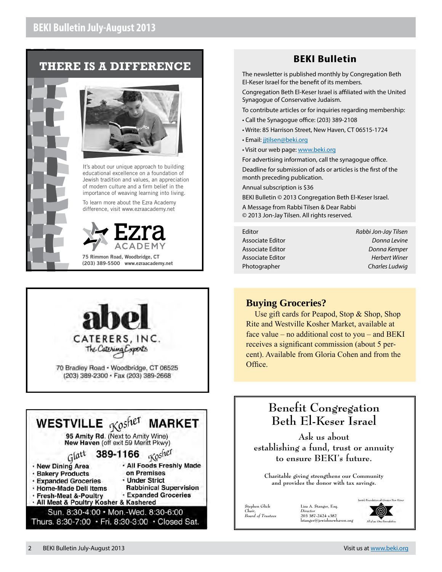# **THERE IS A DIFFERENCE**





It's about our unique approach to building educational excellence on a foundation of Jewish tradition and values, an appreciation of modern culture and a firm belief in the importance of weaving learning into living.

To learn more about the Ezra Academy difference, visit www.ezraacademy.net



**75 Rimmon Road, Woodbridge, CT (203) 389-5500 www.ezraacademy.net**





# **BEKI Bulletin**

The newsletter is published monthly by Congregation Beth El-Keser Israel for the benefit of its members.

Congregation Beth El-Keser Israel is affiliated with the United Synagogue of Conservative Judaism.

To contribute articles or for inquiries regarding membership:

- Call the Synagogue office: (203) 389-2108
- Write: 85 Harrison Street, New Haven, CT 06515-1724
- Email: [jjtilsen@beki.org](mailto:jjtilsen@beki.org)
- Visit our web page: [www.beki.org](http://www.beki.org)

For advertising information, call the synagogue office. Deadline for submission of ads or articles is the first of the month preceding publication.

Annual subscription is \$36

BEKI Bulletin © 2013 Congregation Beth El-Keser Israel.

A Message from Rabbi Tilsen & Dear Rabbi © 2013 Jon-Jay Tilsen. All rights reserved.

Editor *Rabbi Jon-Jay Tilsen* Associate Editor *Donna Levine* Associate Editor *Donna Kemper* Associate Editor *Herbert Winer* Photographer *Charles Ludwig*

## **Buying Groceries?**

Use gift cards for Peapod, Stop & Shop, Shop Rite and Westville Kosher Market, available at face value – no additional cost to you – and BEKI receives a significant commission (about 5 percent). Available from Gloria Cohen and from the Office.

# **Benefit Congregation Beth El-Keser Israel**

**Ask us about establishing a fund, trust or annuity to ensure BEKI's future.**

**Charitable giving strengthens our Community and provides the donor with tax savings.**

**Stephen Glick** *Chair, Board of Trustees* **Lisa A. Stanger, Esq.** *Director* **203 387-2424 x382**  $\mathsf{l}$ stanger@jewishnewha

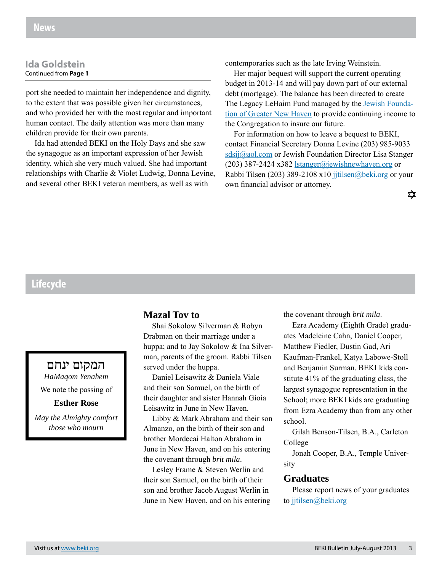#### **Ida Goldstein** Continued from **Page 1**

port she needed to maintain her independence and dignity, to the extent that was possible given her circumstances, and who provided her with the most regular and important human contact. The daily attention was more than many children provide for their own parents.

Ida had attended BEKI on the Holy Days and she saw the synagogue as an important expression of her Jewish identity, which she very much valued. She had important relationships with Charlie & Violet Ludwig, Donna Levine, and several other BEKI veteran members, as well as with

contemporaries such as the late Irving Weinstein.

Her major bequest will support the current operating budget in 2013-14 and will pay down part of our external debt (mortgage). The balance has been directed to create The Legacy LeHaim Fund managed by the **Jewish Founda**tion of Greater New Haven to provide continuing income to the Congregation to insure our future.

For information on how to leave a bequest to BEKI, contact Financial Secretary Donna Levine (203) 985-9033 sdsij@aol.com or Jewish Foundation Director Lisa Stanger (203) 387-2424 x382 lstanger@jewishnewhaven.org or Rabbi Tilsen (203) 389-2108 x10 jjtilsen@beki.org or your own financial advisor or attorney.

✿

# **Lifecycle**

# המקום ינחם

*HaMaqom Yenahem* We note the passing of

## **Esther Rose**

*May the Almighty comfort those who mourn*

## **Mazal Tov to**

Shai Sokolow Silverman & Robyn Drabman on their marriage under a huppa; and to Jay Sokolow & Ina Silverman, parents of the groom. Rabbi Tilsen served under the huppa.

Daniel Leisawitz & Daniela Viale and their son Samuel, on the birth of their daughter and sister Hannah Gioia Leisawitz in June in New Haven.

Libby & Mark Abraham and their son Almanzo, on the birth of their son and brother Mordecai Halton Abraham in June in New Haven, and on his entering the covenant through *brit mila*.

Lesley Frame & Steven Werlin and their son Samuel, on the birth of their son and brother Jacob August Werlin in June in New Haven, and on his entering the covenant through *brit mila*.

Ezra Academy (Eighth Grade) graduates Madeleine Cahn, Daniel Cooper, Matthew Fiedler, Dustin Gad, Ari Kaufman-Frankel, Katya Labowe-Stoll and Benjamin Surman. BEKI kids constitute 41% of the graduating class, the largest synagogue representation in the School; more BEKI kids are graduating from Ezra Academy than from any other school.

Gilah Benson-Tilsen, B.A., Carleton College

Jonah Cooper, B.A., Temple University

#### **Graduates**

Please report news of your graduates to jjtilsen@beki.org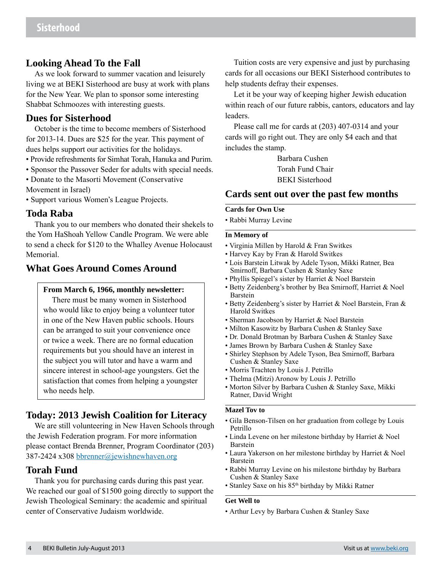## **Looking Ahead To the Fall**

As we look forward to summer vacation and leisurely living we at BEKI Sisterhood are busy at work with plans for the New Year. We plan to sponsor some interesting Shabbat Schmoozes with interesting guests.

#### **Dues for Sisterhood**

October is the time to become members of Sisterhood for 2013-14. Dues are \$25 for the year. This payment of dues helps support our activities for the holidays.

- Provide refreshments for Simhat Torah, Hanuka and Purim.
- Sponsor the Passover Seder for adults with special needs.
- Donate to the Masorti Movement (Conservative
- Movement in Israel)

• Support various Women's League Projects.

#### **Toda Raba**

Thank you to our members who donated their shekels to the Yom HaShoah Yellow Candle Program. We were able to send a check for \$120 to the Whalley Avenue Holocaust Memorial.

## **What Goes Around Comes Around**

#### **From March 6, 1966, monthly newsletter:**

There must be many women in Sisterhood who would like to enjoy being a volunteer tutor in one of the New Haven public schools. Hours can be arranged to suit your convenience once or twice a week. There are no formal education requirements but you should have an interest in the subject you will tutor and have a warm and sincere interest in school-age youngsters. Get the satisfaction that comes from helping a youngster who needs help.

# **Today: 2013 Jewish Coalition for Literacy**

We are still volunteering in New Haven Schools through the Jewish Federation program. For more information please contact Brenda Brenner, Program Coordinator (203) 387-2424 x308 bbrenner@jewishnewhaven.org

## **Torah Fund**

Thank you for purchasing cards during this past year. We reached our goal of \$1500 going directly to support the Jewish Theological Seminary: the academic and spiritual center of Conservative Judaism worldwide.

Tuition costs are very expensive and just by purchasing cards for all occasions our BEKI Sisterhood contributes to help students defray their expenses.

Let it be your way of keeping higher Jewish education within reach of our future rabbis, cantors, educators and lay leaders.

Please call me for cards at (203) 407-0314 and your cards will go right out. They are only \$4 each and that includes the stamp.

> Barbara Cushen Torah Fund Chair BEKI Sisterhood

## **Cards sent out over the past few months**

#### **Cards for Own Use**

• Rabbi Murray Levine

#### **In Memory of**

- Virginia Millen by Harold & Fran Switkes
- Harvey Kay by Fran & Harold Switkes
- Lois Barstein Litwak by Adele Tyson, Mikki Ratner, Bea Smirnoff, Barbara Cushen & Stanley Saxe
- Phyllis Spiegel's sister by Harriet & Noel Barstein
- Betty Zeidenberg's brother by Bea Smirnoff, Harriet & Noel Barstein
- Betty Zeidenberg's sister by Harriet & Noel Barstein, Fran & Harold Switkes
- Sherman Jacobson by Harriet & Noel Barstein
- Milton Kasowitz by Barbara Cushen & Stanley Saxe
- Dr. Donald Brotman by Barbara Cushen & Stanley Saxe
- James Brown by Barbara Cushen & Stanley Saxe
- Shirley Stephson by Adele Tyson, Bea Smirnoff, Barbara Cushen & Stanley Saxe
- Morris Trachten by Louis J. Petrillo
- Thelma (Mitzi) Aronow by Louis J. Petrillo
- Morton Silver by Barbara Cushen & Stanley Saxe, Mikki Ratner, David Wright

#### **Mazel Tov to**

- Gila Benson-Tilsen on her graduation from college by Louis Petrillo
- Linda Levene on her milestone birthday by Harriet & Noel Barstein
- Laura Yakerson on her milestone birthday by Harriet & Noel Barstein
- Rabbi Murray Levine on his milestone birthday by Barbara Cushen & Stanley Saxe
- Stanley Saxe on his 85<sup>th</sup> birthday by Mikki Ratner

#### **Get Well to**

• Arthur Levy by Barbara Cushen & Stanley Saxe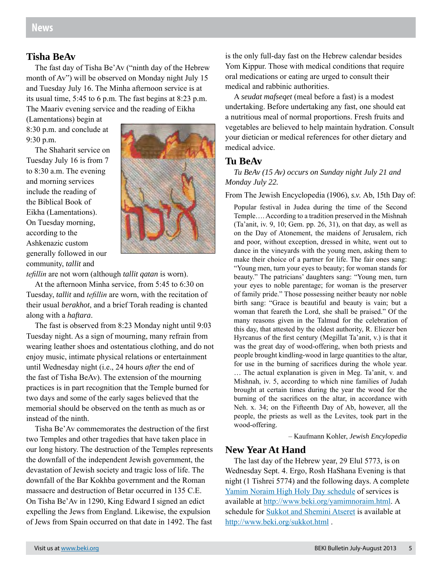#### **Tisha BeAv**

The fast day of Tisha Be'Av ("ninth day of the Hebrew month of Av") will be observed on Monday night July 15 and Tuesday July 16. The Minha afternoon service is at its usual time, 5:45 to 6 p.m. The fast begins at 8:23 p.m. The Maariv evening service and the reading of Eikha

(Lamentations) begin at 8:30 p.m. and conclude at 9:30 p.m.

The Shaharit service on Tuesday July 16 is from 7 to 8:30 a.m. The evening and morning services include the reading of the Biblical Book of Eikha (Lamentations). On Tuesday morning, according to the Ashkenazic custom generally followed in our community, *tallit* and



*tefillin* are not worn (although *tallit qatan* is worn).

At the afternoon Minha service, from 5:45 to 6:30 on Tuesday, *tallit* and *tefillin* are worn, with the recitation of their usual *berakhot*, and a brief Torah reading is chanted along with a *haftara*.

The fast is observed from 8:23 Monday night until 9:03 Tuesday night. As a sign of mourning, many refrain from wearing leather shoes and ostentatious clothing, and do not enjoy music, intimate physical relations or entertainment until Wednesday night (i.e., 24 hours *after* the end of the fast of Tisha BeAv). The extension of the mourning practices is in part recognition that the Temple burned for two days and some of the early sages believed that the memorial should be observed on the tenth as much as or instead of the ninth.

Tisha Be'Av commemorates the destruction of the first two Temples and other tragedies that have taken place in our long history. The destruction of the Temples represents the downfall of the independent Jewish government, the devastation of Jewish society and tragic loss of life. The downfall of the Bar Kokhba government and the Roman massacre and destruction of Betar occurred in 135 C.E. On Tisha Be'Av in 1290, King Edward I signed an edict expelling the Jews from England. Likewise, the expulsion of Jews from Spain occurred on that date in 1492. The fast

is the only full-day fast on the Hebrew calendar besides Yom Kippur. Those with medical conditions that require oral medications or eating are urged to consult their medical and rabbinic authorities.

A *seudat mafseqet* (meal before a fast) is a modest undertaking. Before undertaking any fast, one should eat a nutritious meal of normal proportions. Fresh fruits and vegetables are believed to help maintain hydration. Consult your dietician or medical references for other dietary and medical advice.

## **Tu BeAv**

*Tu BeAv (15 Av) occurs on Sunday night July 21 and Monday July 22.*

From The Jewish Encyclopedia (1906), *s.v.* Ab, 15th Day of:

Popular festival in Judea during the time of the Second Temple…. According to a tradition preserved in the Mishnah (Ta'anit, iv. 9, 10; Gem. pp. 26, 31), on that day, as well as on the Day of Atonement, the maidens of Jerusalem, rich and poor, without exception, dressed in white, went out to dance in the vineyards with the young men, asking them to make their choice of a partner for life. The fair ones sang: "Young men, turn your eyes to beauty; for woman stands for beauty." The patricians' daughters sang: "Young men, turn your eyes to noble parentage; for woman is the preserver of family pride." Those possessing neither beauty nor noble birth sang: "Grace is beautiful and beauty is vain; but a woman that feareth the Lord, she shall be praised." Of the many reasons given in the Talmud for the celebration of this day, that attested by the oldest authority, R. Eliezer ben Hyrcanus of the first century (Megillat Ta'anit, v.) is that it was the great day of wood-offering, when both priests and people brought kindling-wood in large quantities to the altar, for use in the burning of sacrifices during the whole year. … The actual explanation is given in Meg. Ta'anit, v. and Mishnah, iv. 5, according to which nine families of Judah brought at certain times during the year the wood for the burning of the sacrifices on the altar, in accordance with Neh. x. 34; on the Fifteenth Day of Ab, however, all the people, the priests as well as the Levites, took part in the wood-offering.

– Kaufmann Kohler, *Jewish Encylopedia*

## **New Year At Hand**

The last day of the Hebrew year, 29 Elul 5773, is on Wednesday Sept. 4. Ergo, Rosh HaShana Evening is that night (1 Tishrei 5774) and the following days. A complete Yamim Noraim High Holy Day schedule of services is available at http://www.beki.org/yamimnoraim.html. A schedule for Sukkot and Shemini Atseret is available at http://www.beki.org/sukkot.html .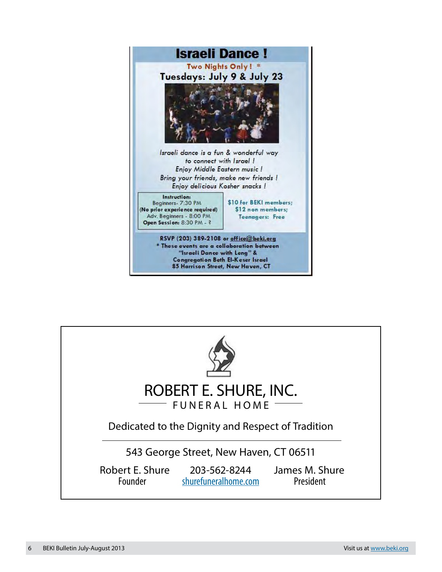

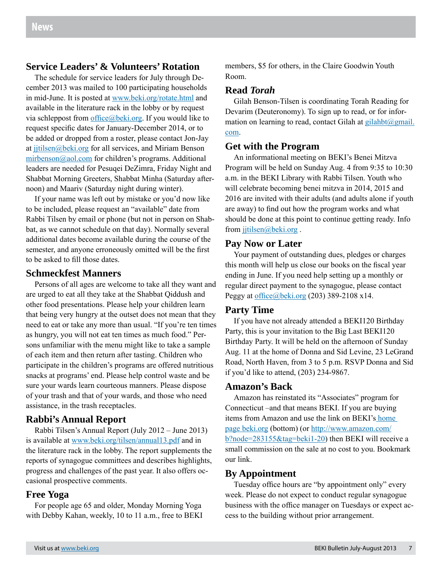## **Service Leaders' & Volunteers' Rotation**

The schedule for service leaders for July through December 2013 was mailed to 100 participating households in mid-June. It is posted at www.beki.org/rotate.html and available in the literature rack in the lobby or by request via schleppost from  $offace@beki.org$ . If you would like to request specific dates for January-December 2014, or to be added or dropped from a roster, please contact Jon-Jay at jitilsen@beki.org for all services, and Miriam Benson mirbenson@aol.com for children's programs. Additional leaders are needed for Pesuqei DeZimra, Friday Night and Shabbat Morning Greeters, Shabbat Minha (Saturday afternoon) and Maariv (Saturday night during winter).

If your name was left out by mistake or you'd now like to be included, please request an "available" date from Rabbi Tilsen by email or phone (but not in person on Shabbat, as we cannot schedule on that day). Normally several additional dates become available during the course of the semester, and anyone erroneously omitted will be the first to be asked to fill those dates.

#### **Schmeckfest Manners**

Persons of all ages are welcome to take all they want and are urged to eat all they take at the Shabbat Qiddush and other food presentations. Please help your children learn that being very hungry at the outset does not mean that they need to eat or take any more than usual. "If you're ten times as hungry, you will not eat ten times as much food." Persons unfamiliar with the menu might like to take a sample of each item and then return after tasting. Children who participate in the children's programs are offered nutritious snacks at programs' end. Please help control waste and be sure your wards learn courteous manners. Please dispose of your trash and that of your wards, and those who need assistance, in the trash receptacles.

## **Rabbi's Annual Report**

Rabbi Tilsen's Annual Report (July 2012 – June 2013) is available at www.beki.org/tilsen/annual13.pdf and in the literature rack in the lobby. The report supplements the reports of synagogue committees and describes highlights, progress and challenges of the past year. It also offers occasional prospective comments.

## **Free Yoga**

For people age 65 and older, Monday Morning Yoga with Debby Kahan, weekly, 10 to 11 a.m., free to BEKI members, \$5 for others, in the Claire Goodwin Youth Room.

#### **Read** *Torah*

Gilah Benson-Tilsen is coordinating Torah Reading for Devarim (Deuteronomy). To sign up to read, or for information on learning to read, contact Gilah at gilahbt@gmail. com.

#### **Get with the Program**

An informational meeting on BEKI's Benei Mitzva Program will be held on Sunday Aug. 4 from 9:35 to 10:30 a.m. in the BEKI Library with Rabbi Tilsen. Youth who will celebrate becoming benei mitzva in 2014, 2015 and 2016 are invited with their adults (and adults alone if youth are away) to find out how the program works and what should be done at this point to continue getting ready. Info from jitilsen@beki.org.

#### **Pay Now or Later**

Your payment of outstanding dues, pledges or charges this month will help us close our books on the fiscal year ending in June. If you need help setting up a monthly or regular direct payment to the synagogue, please contact Peggy at office@beki.org  $(203)$  389-2108 x14.

#### **Party Time**

If you have not already attended a BEKI120 Birthday Party, this is your invitation to the Big Last BEKI120 Birthday Party. It will be held on the afternoon of Sunday Aug. 11 at the home of Donna and Sid Levine, 23 LeGrand Road, North Haven, from 3 to 5 p.m. RSVP Donna and Sid if you'd like to attend, (203) 234-9867.

## **Amazon's Back**

Amazon has reinstated its "Associates" program for Connecticut –and that means BEKI. If you are buying items from Amazon and use the link on BEKI's home page beki.org (bottom) (or http://www.amazon.com/ b?node=283155&tag=beki1-20) then BEKI will receive a small commission on the sale at no cost to you. Bookmark our link.

#### **By Appointment**

Tuesday office hours are "by appointment only" every week. Please do not expect to conduct regular synagogue business with the office manager on Tuesdays or expect access to the building without prior arrangement.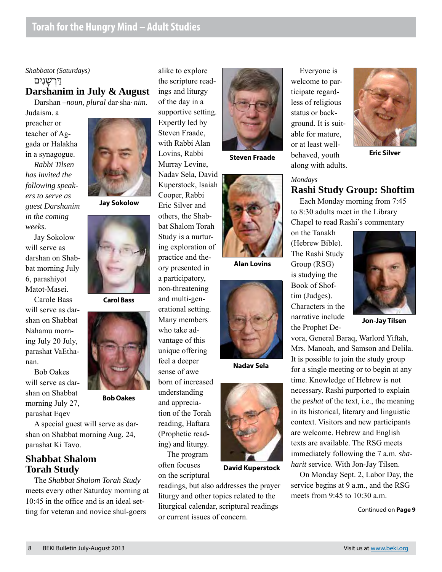# *Shabbatot (Saturdays)* דּרשׁנים **Darshanim in July & August**

Darshan –*noun, plural* dar·sha· *nim*.

Judaism. a preacher or teacher of Aggada or Halakha in a synagogue. *Rabbi Tilsen has invited the following speakers to serve as guest Darshanim in the coming weeks.* 

Jay Sokolow will serve as darshan on Shabbat morning July 6, parashiyot Matot-Masei.

Carole Bass will serve as darshan on Shabbat Nahamu morning July 20 July, parashat VaEthanan.

Bob Oakes will serve as darshan on Shabbat morning July 27, parashat Eqev

A special guest will serve as darshan on Shabbat morning Aug. 24, parashat Ki Tavo.

# **Shabbat Shalom Torah Study**

The *Shabbat Shalom Torah Study* meets every other Saturday morning at 10:45 in the office and is an ideal setting for veteran and novice shul-goers

**Jay Sokolow**



**Carol Bass**



**Bob Oakes**

alike to explore the scripture readings and liturgy of the day in a supportive setting. Expertly led by Steven Fraade, with Rabbi Alan Lovins, Rabbi Murray Levine, Nadav Sela, David Kuperstock, Isaiah Cooper, Rabbi Eric Silver and others, the Shabbat Shalom Torah Study is a nurturing exploration of practice and theory presented in a participatory, non-threatening and multi-generational setting. Many members who take advantage of this unique offering feel a deeper sense of awe born of increased understanding and appreciation of the Torah reading, Haftara (Prophetic read-

ing) and liturgy. The program often focuses on the scriptural

readings, but also addresses the prayer liturgy and other topics related to the liturgical calendar, scriptural readings or current issues of concern.



**Steven Fraade**



**Alan Lovins**



**Nadav Sela**



**David Kuperstock**

Everyone is welcome to participate regardless of religious status or background. It is suitable for mature, or at least wellbehaved, youth along with adults.

#### *Mondays* **Rashi Study Group: Shoftim**

Each Monday morning from 7:45 to 8:30 adults meet in the Library Chapel to read Rashi's commentary

on the Tanakh (Hebrew Bible). The Rashi Study Group (RSG) is studying the Book of Shoftim (Judges). Characters in the narrative include the Prophet De-

**Jon-Jay Tilsen**

vora, General Baraq, Warlord Yiftah, Mrs. Manoah, and Samson and Delila. It is possible to join the study group for a single meeting or to begin at any time. Knowledge of Hebrew is not necessary. Rashi purported to explain the *peshat* of the text, i.e., the meaning in its historical, literary and linguistic context. Visitors and new participants are welcome. Hebrew and English texts are available. The RSG meets immediately following the 7 a.m. *shaharit* service. With Jon-Jay Tilsen.

On Monday Sept. 2, Labor Day, the service begins at 9 a.m., and the RSG meets from 9:45 to 10:30 a.m.

Continued on **Page 9**



**Eric Silver**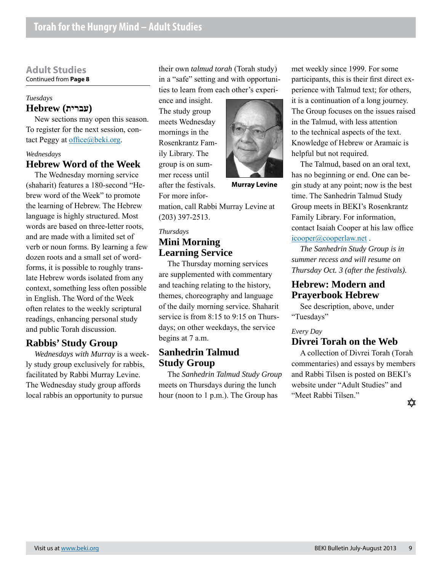#### **Adult Studies** Continued from **Page 8**

## *Tuesdays* **(עברית) Hebrew**

New sections may open this season. To register for the next session, contact Peggy at office@beki.org.

#### *Wednesdays*

## **Hebrew Word of the Week**

The Wednesday morning service (shaharit) features a 180-second "Hebrew word of the Week" to promote the learning of Hebrew. The Hebrew language is highly structured. Most words are based on three-letter roots, and are made with a limited set of verb or noun forms. By learning a few dozen roots and a small set of wordforms, it is possible to roughly translate Hebrew words isolated from any context, something less often possible in English. The Word of the Week often relates to the weekly scriptural readings, enhancing personal study and public Torah discussion.

## **Rabbis' Study Group**

*Wednesdays with Murray* is a weekly study group exclusively for rabbis, facilitated by Rabbi Murray Levine. The Wednesday study group affords local rabbis an opportunity to pursue

their own *talmud torah* (Torah study) in a "safe" setting and with opportunities to learn from each other's experi-

ence and insight. The study group meets Wednesday mornings in the Rosenkrantz Family Library. The group is on summer recess until after the festivals.

For more infor-



**Murray Levine**

mation, call Rabbi Murray Levine at (203) 397-2513.

#### *Thursdays*

# **Mini Morning Learning Service**

The Thursday morning services are supplemented with commentary and teaching relating to the history, themes, choreography and language of the daily morning service. Shaharit service is from 8:15 to 9:15 on Thursdays; on other weekdays, the service begins at 7 a.m.

## **Sanhedrin Talmud Study Group**

The *Sanhedrin Talmud Study Group* meets on Thursdays during the lunch hour (noon to 1 p.m.). The Group has

met weekly since 1999. For some participants, this is their first direct experience with Talmud text; for others, it is a continuation of a long journey. The Group focuses on the issues raised in the Talmud, with less attention to the technical aspects of the text. Knowledge of Hebrew or Aramaic is helpful but not required.

The Talmud, based on an oral text, has no beginning or end. One can begin study at any point; now is the best time. The Sanhedrin Talmud Study Group meets in BEKI's Rosenkrantz Family Library. For information, contact Isaiah Cooper at his law office icooper@cooperlaw.net .

*The Sanhedrin Study Group is in summer recess and will resume on Thursday Oct. 3 (after the festivals).*

# **Hebrew: Modern and Prayerbook Hebrew**

See description, above, under "Tuesdays"

#### *Every Day*

#### **Divrei Torah on the Web**

A collection of Divrei Torah (Torah commentaries) and essays by members and Rabbi Tilsen is posted on BEKI's website under "Adult Studies" and "Meet Rabbi Tilsen."

≴≵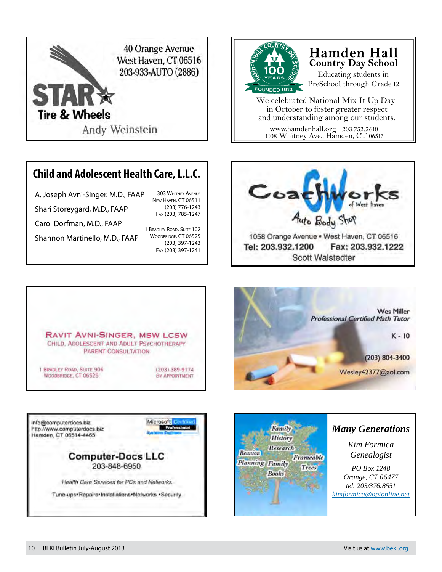

# **Child and Adolescent Health Care, L.L.C.**

A. Joseph Avni-Singer. M.D., FAAP Shari Storeygard, M.D., FAAP Carol Dorfman, M.D., FAAP 303 Whitney Avenue New Haven, CT 06511 Fax (203) 785-1247

Shannon Martinello, M.D., FAAP

1 Bradley Road, Suite 102 WOODBRIDGE, CT 06525 (203) 397-1243 Fax (203) 397-1241

(203) 776-1243



# **Hamden Hall Country Day School**

Educating students in PreSchool through Grade 12.

We celebrated National Mix It Up Day in October to foster greater respect and understanding among our students.

www.hamdenhall.org 203.752.2610 1108 Whitney Ave., Hamden, CT 06517







Microsoft Berlinen info@computerdocs.blz **Prafe** http://www.computerdocs.biz Hamden, CT 06514-4465 **Computer-Docs LLC** 203-848-6950

Health Care Services for PCs and Nelworks

Tune-ups-Repairs-Installations-Networks -Security



# *Many Generations*

*Kim Formica Genealogist*

*PO Box 1248 Orange, CT 06477 tel. 203/376.8551 [kimformica@optonline.net](mailto:kimformica@optonline.net)*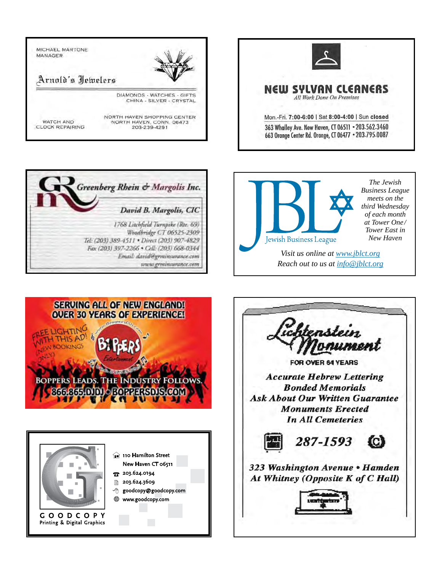





*meets on the third Wednesday of each month at Tower One / Tower East in New Haven*

*Visit us online at www.jblct.org Reach out to us at info@jblct.org*





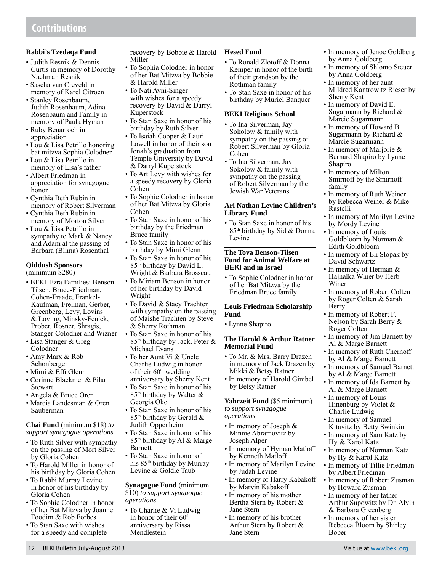#### **Rabbi's Tzedaqa Fund**

- Judith Resnik & Dennis Curtis in memory of Dorothy Nachman Resnik
- Sascha van Creveld in memory of Karel Citroen
- Stanley Rosenbaum, Judith Rosenbaum, Adina Rosenbaum and Family in memory of Paula Hyman
- Ruby Benarroch in appreciation
- Lou & Lisa Petrillo honoring bat mitzva Sophia Colodner
- Lou & Lisa Petrillo in memory of Lisa's father
- Albert Friedman in appreciation for synagogue honor
- Cynthia Beth Rubin in memory of Robert Silverman
- Cynthia Beth Rubin in memory of Morton Silver
- Lou & Lisa Petrillo in sympathy to Mark & Nancy and Adam at the passing of Barbara (Blima) Rosenthal

#### **Qiddush Sponsors**  (minimum \$280)

- BEKI Ezra Families: Benson-Tilsen, Bruce-Friedman, Cohen-Fraade, Frankel-Kaufman, Freiman, Gerber, Greenberg, Levy, Lovins & Loving, Minsky-Fenick, Prober, Rosner, Shragis, Stanger-Colodner and Wizner
- Lisa Stanger & Greg Colodner
- Amy Marx & Rob Schonberger
- Mimi & Effi Glenn
- Corinne Blackmer & Pilar Stewart
- Angela & Bruce Oren
- Marcia Landesman & Oren Sauberman

**Chai Fund** (minimum \$18) *to support synagogue operations*

- To Ruth Silver with sympathy on the passing of Mort Silver by Gloria Cohen
- To Harold Miller in honor of his birthday by Gloria Cohen
- To Rabbi Murray Levine in honor of his birthday by Gloria Cohen
- To Sophie Colodner in honor of her Bat Mitzva by Joanne Foodim & Rob Forbes
- To Stan Saxe with wishes for a speedy and complete
- To Sophia Colodner in honor of her Bat Mitzva by Bobbie & Harold Miller
- To Nati Avni-Singer with wishes for a speedy recovery by David & Darryl Kuperstock
- To Stan Saxe in honor of his birthday by Ruth Silver
- To Isaiah Cooper & Lauri Lowell in honor of their son Jonah's graduation from Temple University by David & Darryl Kuperstock
- To Art Levy with wishes for a speedy recovery by Gloria Cohen
- To Sophie Colodner in honor of her Bat Mitzva by Gloria Cohen
- To Stan Saxe in honor of his birthday by the Friedman Bruce family
- To Stan Saxe in honor of his birthday by Mimi Glenn
- To Stan Saxe in honor of his 85th birthday by David L. Wright & Barbara Brosseau
- To Miriam Benson in honor of her birthday by David Wright
- To David & Stacy Trachten with sympathy on the passing of Maishe Trachten by Steve & Sherry Rothman
- To Stan Saxe in honor of his 85<sup>th</sup> birthday by Jack, Peter & Michael Evans
- To her Aunt Vi & Uncle Charlie Ludwig in honor of their 60<sup>th</sup> wedding anniversary by Sherry Kent
- To Stan Saxe in honor of his  $85<sup>th</sup>$  birthday by Walter & Georgia Oko
- To Stan Saxe in honor of his  $85<sup>th</sup>$  birthday by Gerald  $&$ Judith Oppenheim
- To Stan Saxe in honor of his 85th birthday by Al & Marge Barnett
- To Stan Saxe in honor of his 85<sup>th</sup> birthday by Murray Levine & Goldie Taub

#### **Synagogue Fund** (minimum \$10) *to support synagogue operations*

• To Charlie & Vi Ludwig in honor of their  $60<sup>th</sup>$ anniversary by Rissa Mendlestein

#### **Hesed Fund**

- To Ronald Zlotoff & Donna Kemper in honor of the birth of their grandson by the Rothman family
- To Stan Saxe in honor of his birthday by Muriel Banquer

#### **BEKI Religious School**

- To Ina Silverman, Jay Sokolow & family with sympathy on the passing of Robert Silverman by Gloria Cohen
- To Ina Silverman, Jay Sokolow & family with sympathy on the passing of Robert Silverman by the Jewish War Veterans

#### **Ari Nathan Levine Children's Library Fund**

• To Stan Saxe in honor of his 85th birthday by Sid & Donna Levine

#### **The Tova Benson-Tilsen Fund for Animal Welfare at BEKI and in Israel**

• To Sophie Colodner in honor of her Bat Mitzva by the Friedman Bruce family

#### **Louis Friedman Scholarship Fund**

• Lynne Shapiro

#### **The Harold & Arthur Ratner Memorial Fund**

- To Mr. & Mrs. Barry Drazen in memory of Jack Drazen by Mikki & Betsy Ratner
- In memory of Harold Gimbel by Betsy Ratner

**Yahrzeit Fund** (\$5 minimum) *to support synagogue operations*

- In memory of Joseph & Minnie Abramovitz by Joseph Alper
- In memory of Hyman Matloff by Kenneth Matloff
- In memory of Marilyn Levine by Judah Levine
- In memory of Harry Kabakoff by Marvin Kabakoff
- In memory of his mother Bertha Stern by Robert & Jane Stern
- In memory of his brother Arthur Stern by Robert & Jane Stern
- In memory of Jenoe Goldberg by Anna Goldberg
- In memory of Shlomo Steuer by Anna Goldberg
- In memory of her aunt Mildred Kantrowitz Rieser by Sherry Kent
- In memory of David E. Sugarmann by Richard & Marcie Sugarmann
- In memory of Howard B. Sugarmann by Richard & Marcie Sugarmann
- In memory of Marjorie & Bernard Shapiro by Lynne Shapiro
- In memory of Milton Smirnoff by the Smirnoff family
- In memory of Ruth Weiner by Rebecca Weiner & Mike Rastelli
- In memory of Marilyn Levine by Mordy Levine
- In memory of Louis Goldbloom by Norman & Edith Goldbloom
- In memory of Eli Slopak by David Schwartz
- In memory of Herman & Hajnalka Winer by Herb Winer
- In memory of Robert Colten by Roger Colten & Sarah Berry
- In memory of Robert F. Nelson by Sarah Berry & Roger Colten
- In memory of Jim Barnett by Al & Marge Barnett
- In memory of Ruth Chernoff by Al & Marge Barnett
- In memory of Samuel Barnett by Al & Marge Barnett
- In memory of Ida Barnett by Al & Marge Barnett
- In memory of Louis Hinenburg by Violet & Charlie Ludwig
- In memory of Samuel Kitavitz by Betty Swinkin
- In memory of Sam Katz by Hy & Karol Katz
- In memory of Norman Katz by Hy & Karol Katz
- In memory of Tillie Friedman by Albert Friedman
- In memory of Robert Zusman by Howard Zusman
- In memory of her father Arthur Supowitz by Dr. Alvin & Barbara Greenberg
- In memory of her sister Rebecca Bloom by Shirley Bober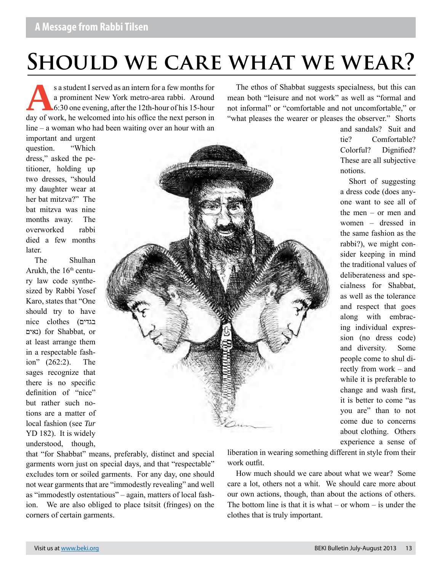# **Should we care what we wear?**

s a student I served as an intern for a few months for<br>a prominent New York metro-area rabbi. Around<br>6:30 one evening, after the 12th-hour of his 15-hour<br>day of work, he welcomed into his office the next person in a prominent New York metro-area rabbi. Around 6:30 one evening, after the 12th-hour of his 15-hour day of work, he welcomed into his office the next person in line – a woman who had been waiting over an hour with an

important and urgent question. "Which dress," asked the petitioner, holding up two dresses, "should my daughter wear at her bat mitzva?" The bat mitzva was nine months away. The overworked rabbi died a few months later.

The Shulhan Arukh, the  $16<sup>th</sup>$  century law code synthesized by Rabbi Yosef Karo, states that "One should try to have nice clothes (בגדים נאים (for Shabbat, or at least arrange them in a respectable fashion" (262:2). The sages recognize that there is no specific definition of "nice" but rather such notions are a matter of local fashion (see *Tur* YD 182). It is widely understood, though,



The ethos of Shabbat suggests specialness, but this can mean both "leisure and not work" as well as "formal and not informal" or "comfortable and not uncomfortable," or "what pleases the wearer or pleases the observer." Shorts

> and sandals? Suit and tie? Comfortable? Colorful? Dignified? These are all subjective notions.

> Short of suggesting a dress code (does anyone want to see all of the men – or men and women – dressed in the same fashion as the rabbi?), we might consider keeping in mind the traditional values of deliberateness and specialness for Shabbat, as well as the tolerance and respect that goes along with embracing individual expression (no dress code) and diversity. Some people come to shul directly from work – and while it is preferable to change and wash first, it is better to come "as you are" than to not come due to concerns about clothing. Others experience a sense of

that "for Shabbat" means, preferably, distinct and special garments worn just on special days, and that "respectable" excludes torn or soiled garments. For any day, one should not wear garments that are "immodestly revealing" and well as "immodestly ostentatious" – again, matters of local fashion. We are also obliged to place tsitsit (fringes) on the corners of certain garments.

liberation in wearing something different in style from their work outfit.

How much should we care about what we wear? Some care a lot, others not a whit. We should care more about our own actions, though, than about the actions of others. The bottom line is that it is what – or whom – is under the clothes that is truly important.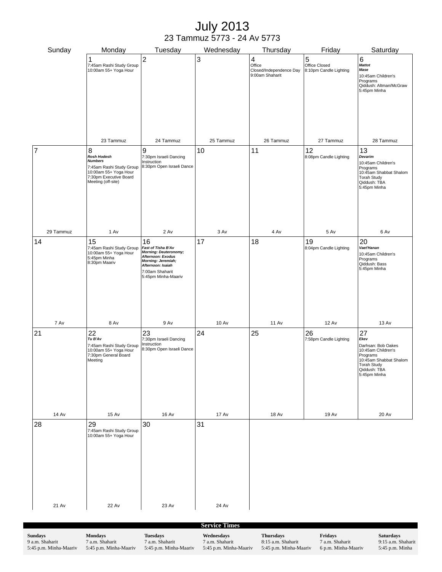# July 2013 23 Tammuz 5773 - 24 Av 5773

| Sunday               | Monday                                                                                                                                  | Tuesday                                                                                                                                                            | Wednesday    | Thursday                                                  | Friday                                       | Saturday                                                                                                                                           |  |  |  |
|----------------------|-----------------------------------------------------------------------------------------------------------------------------------------|--------------------------------------------------------------------------------------------------------------------------------------------------------------------|--------------|-----------------------------------------------------------|----------------------------------------------|----------------------------------------------------------------------------------------------------------------------------------------------------|--|--|--|
|                      | 1<br>7:45am Rashi Study Group<br>10:00am 55+ Yoga Hour                                                                                  | $\overline{c}$                                                                                                                                                     | 3            | 4<br>Office<br>Closed/Independence Day<br>9:00am Shaharit | 5<br>Office Closed<br>8:10pm Candle Lighting | 6<br><b>Mattot</b><br>Mase<br>10:45am Children's<br>Programs<br>Qiddush: Altman/McGraw<br>5:45pm Minha                                             |  |  |  |
|                      | 23 Tammuz                                                                                                                               | 24 Tammuz                                                                                                                                                          | 25 Tammuz    | 26 Tammuz                                                 | 27 Tammuz                                    | 28 Tammuz                                                                                                                                          |  |  |  |
| 7                    | 8<br>Rosh Hodesh<br><b>Numbers</b><br>7:45am Rashi Study Group<br>10:00am 55+ Yoga Hour<br>7:30pm Executive Board<br>Meeting (off-site) | 9<br>7:30pm Israeli Dancing<br>Instruction<br>8:30pm Open Israeli Dance                                                                                            | 10           | 11                                                        | 12<br>8:08pm Candle Lighting                 | 13<br>Devarim<br>10:45am Children's<br>Programs<br>10:45am Shabbat Shalom<br><b>Torah Study</b><br>Qiddush: TBA<br>5:45pm Minha                    |  |  |  |
| 29 Tammuz            | 1 Av                                                                                                                                    | 2 Av                                                                                                                                                               | 3 Av         | 4 Av                                                      | 5 Av                                         | 6 Av                                                                                                                                               |  |  |  |
| 14                   | 15<br>7:45am Rashi Study Group<br>10:00am 55+ Yoga Hour<br>5:45pm Minha<br>8:30pm Maariv                                                | 16<br>Fast of Tisha B'Av<br><b>Morning: Deuteronomy;</b><br>Afternoon: Exodus<br>Morning: Jeremiah;<br>Afternoon: Isaiah<br>7:00am Shaharit<br>5:45pm Minha-Maariv | 17           | 18                                                        | 19<br>8:04pm Candle Lighting                 | 20<br>Vaet'Hanan<br>10:45am Children's<br>Programs<br>Qiddush: Bass<br>5:45pm Minha                                                                |  |  |  |
| 7 Av                 | 8 Av                                                                                                                                    | 9 Av                                                                                                                                                               | <b>10 Av</b> | <b>11 Av</b>                                              | <b>12 Av</b>                                 | <b>13 Av</b>                                                                                                                                       |  |  |  |
| 21                   | 22<br>Tu B'Av<br>7:45am Rashi Study Group<br>10:00am 55+ Yoga Hour<br>7:30pm General Board<br>Meeting                                   | 23<br>7:30pm Israeli Dancing<br>Instruction<br>8:30pm Open Israeli Dance                                                                                           | 24           | 25                                                        | 26<br>7:58pm Candle Lighting                 | 27<br>Ekev<br>Darhsan: Bob Oakes<br>10:45am Children's<br>Programs<br>10:45am Shabbat Shalom<br><b>Torah Study</b><br>Qiddush: TBA<br>5:45pm Minha |  |  |  |
| <b>14 Av</b>         | <b>15 Av</b>                                                                                                                            | <b>16 Av</b>                                                                                                                                                       | <b>17 Av</b> | <b>18 Av</b>                                              | <b>19 Av</b>                                 | <b>20 Av</b>                                                                                                                                       |  |  |  |
| 28                   | 29<br>7:45am Rashi Study Group<br>10:00am 55+ Yoga Hour                                                                                 | 30                                                                                                                                                                 | 31           |                                                           |                                              |                                                                                                                                                    |  |  |  |
| 21 Av                | <b>22 Av</b>                                                                                                                            | 23 Av                                                                                                                                                              | 24 Av        |                                                           |                                              |                                                                                                                                                    |  |  |  |
| <b>Service Times</b> |                                                                                                                                         |                                                                                                                                                                    |              |                                                           |                                              |                                                                                                                                                    |  |  |  |

**Sundays** 9 a.m. Shaharit 5:45 p.m. Minha-Maariv **Mondays** 7 a.m. Shaharit 5:45 p.m. Minha-Maariv **Tuesdays** 7 a.m. Shaharit 5:45 p.m. Minha-Maariv **Wednesdays** 7 a.m. Shaharit 5:45 p.m. Minha-Maariv **Thursdays** 8:15 a.m. Shaharit 5:45 p.m. Minha-Maariv

**Fridays** 7 a.m. Shaharit 6 p.m. Minha-Maariv **Saturdays** 9:15 a.m. Shaharit 5:45 p.m. Minha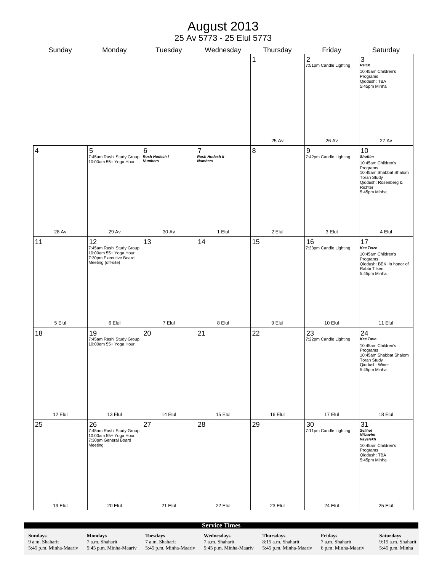# August 2013 25 Av 5773 - 25 Elul 5773

| Sunday                  | Monday                                                                                                  | Tuesday                              | Wednesday                                          | Thursday | Friday                                | Saturday                                                                                                                                           |  |  |  |
|-------------------------|---------------------------------------------------------------------------------------------------------|--------------------------------------|----------------------------------------------------|----------|---------------------------------------|----------------------------------------------------------------------------------------------------------------------------------------------------|--|--|--|
|                         |                                                                                                         |                                      |                                                    | 1        | $\mathbf 2$<br>7:51pm Candle Lighting | $\sqrt{3}$<br>Re'Eh<br>10:45am Children's<br>Programs<br>Qiddush: TBA<br>5:45pm Minha                                                              |  |  |  |
|                         |                                                                                                         |                                      |                                                    | 25 Av    | <b>26 Av</b>                          | <b>27 Av</b>                                                                                                                                       |  |  |  |
| $\overline{\mathbf{4}}$ | $\sqrt{5}$<br>7:45am Rashi Study Group<br>10:00am 55+ Yoga Hour                                         | 6<br>Rosh Hodesh I<br><b>Numbers</b> | $\overline{7}$<br>Rosh Hodesh II<br><b>Numbers</b> | 8        | 9<br>7:42pm Candle Lighting           | 10<br><b>Shoftim</b><br>10:45am Children's<br>Programs<br>10:45am Shabbat Shalom<br>Torah Study<br>Qiddush: Rosenberg &<br>Richter<br>5:45pm Minha |  |  |  |
| <b>28 Av</b>            | 29 Av                                                                                                   | 30 Av                                | 1 Elul                                             | 2 Elul   | 3 Elul                                | 4 Elul                                                                                                                                             |  |  |  |
| 11                      | 12<br>7:45am Rashi Study Group<br>10:00am 55+ Yoga Hour<br>7:30pm Executive Board<br>Meeting (off-site) | 13                                   | 14                                                 | 15       | 16<br>7:33pm Candle Lighting          | 17<br><b>Kee Tetze</b><br>10:45am Children's<br>Programs<br>Qiddush: BEKI in honor of<br>Rabbi Tilsen<br>5:45pm Minha                              |  |  |  |
| 5 Elul                  | 6 Elul                                                                                                  | 7 Elul                               | 8 Elul                                             | 9 Elul   | 10 Elul                               | 11 Elul                                                                                                                                            |  |  |  |
| 18                      | 19<br>7:45am Rashi Study Group<br>10:00am 55+ Yoga Hour                                                 | 20                                   | 21                                                 | 22       | 23<br>7:22pm Candle Lighting          | 24<br>Kee Tavo<br>10:45am Children's<br>Programs<br>10:45am Shabbat Shalom<br>Torah Study<br>Qiddush: Winer<br>5:45pm Minha                        |  |  |  |
| 12 Elul                 | 13 Elul                                                                                                 | 14 Elul                              | 15 Elul                                            | 16 Elul  | 17 Elul                               | 18 Elul                                                                                                                                            |  |  |  |
| 25                      | 26<br>7:45am Rashi Study Group<br>10:00am 55+ Yoga Hour<br>7:30pm General Board<br>Meeting              | 27                                   | 28                                                 | 29       | 30<br>7:11pm Candle Lighting          | 31<br><b>Selihot</b><br>Nitzavim<br>Vayelekh<br>10:45am Children's<br>Programs<br>Qiddush: TBA<br>5:45pm Minha                                     |  |  |  |
| 19 Elul                 | 20 Elul                                                                                                 | 21 Elul                              | 22 Elul                                            | 23 Elul  | 24 Elul                               | 25 Elul                                                                                                                                            |  |  |  |
|                         |                                                                                                         |                                      |                                                    |          |                                       |                                                                                                                                                    |  |  |  |
|                         |                                                                                                         |                                      | <b>Service Times</b>                               |          |                                       |                                                                                                                                                    |  |  |  |

**Sundays** 9 a.m. Shaharit 5:45 p.m. Minha-Maariv **Mondays** 7 a.m. Shaharit 5:45 p.m. Minha-Maariv **Tuesdays** 7 a.m. Shaharit 5:45 p.m. Minha-Maariv **Wednesdays** 7 a.m. Shaharit 5:45 p.m. Minha-Maariv **Thursdays** 8:15 a.m. Shaharit 5:45 p.m. Minha-Maariv **Fridays** 7 a.m. Shaharit 6 p.m. Minha-Maariv **Saturdays** 9:15 a.m. Shaharit 5:45 p.m. Minha